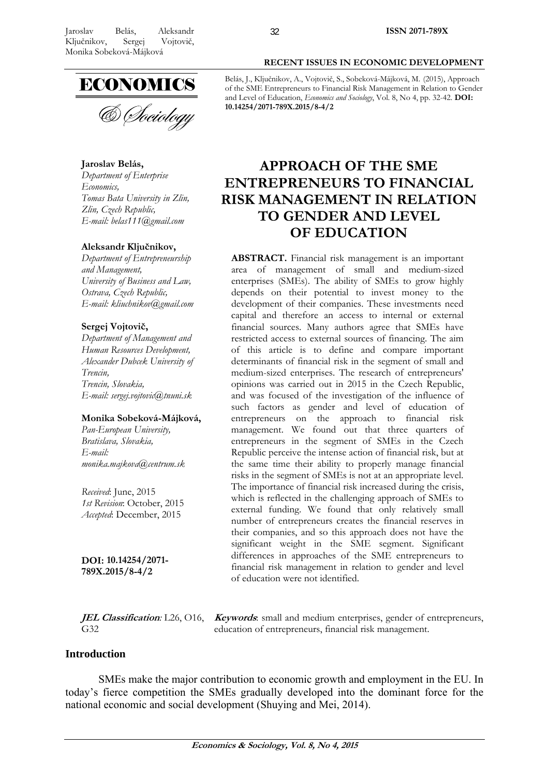

& Sociology

**Jaroslav Belás,** 

*Department of Enterprise Economics, Tomas Bata University in Zlin, Zlin, Czech Republic, E-mail: belas111@gmail.com* 

## **Aleksandr Ključnikov,**

*Department of Entrepreneurship and Management, University of Business and Law, Ostrava, Czech Republic, E-mail: kliuchnikov@gmail.com* 

## **Sergej Vojtovič,**

*Department of Management and Human Resources Development, Alexander Dubcek University of Trencin, Trencin, Slovakia, E-mail: sergej.vojtovic@tnuni.sk* 

## **Monika Sobeková-Májková,**

*Pan-European University, Bratislava, Slovakia, E-mail: monika.majkova@centrum.sk* 

*Received*: June, 2015 *1st Revision*: October, 2015 *Accepted*: December, 2015

**DOI: 10.14254/2071- 789X.2015/8-4/2**

G32

**JEL Classification***:* L26, O16, **Keywords**: small and medium enterprises, gender of entrepreneurs, education of entrepreneurs, financial risk management.

# **Introduction**

SMEs make the major contribution to economic growth and employment in the EU. In today's fierce competition the SMEs gradually developed into the dominant force for the national economic and social development (Shuying and Mei, 2014).

Belás, J., Ključnikov, A., Vojtovič, S., Sobeková-Májková, M. (2015), Approach of the SME Entrepreneurs to Financial Risk Management in Relation to Gender and Level of Education, *Economics and Sociology*, Vol. 8, No 4, pp. 32-42. **DOI: 10.14254/2071-789X.2015/8-4/2**

# **APPROACH OF THE SME ENTREPRENEURS TO FINANCIAL RISK MANAGEMENT IN RELATION TO GENDER AND LEVEL OF EDUCATION**

**ABSTRACT.** Financial risk management is an important area of management of small and medium-sized enterprises (SMEs). The ability of SMEs to grow highly depends on their potential to invest money to the development of their companies. These investments need capital and therefore an access to internal or external financial sources. Many authors agree that SMEs have restricted access to external sources of financing. The aim of this article is to define and compare important determinants of financial risk in the segment of small and medium-sized enterprises. The research of entrepreneurs' opinions was carried out in 2015 in the Czech Republic, and was focused of the investigation of the influence of such factors as gender and level of education of entrepreneurs on the approach to financial risk management. We found out that three quarters of entrepreneurs in the segment of SMEs in the Czech Republic perceive the intense action of financial risk, but at the same time their ability to properly manage financial risks in the segment of SMEs is not at an appropriate level. The importance of financial risk increased during the crisis, which is reflected in the challenging approach of SMEs to external funding. We found that only relatively small number of entrepreneurs creates the financial reserves in their companies, and so this approach does not have the significant weight in the SME segment. Significant differences in approaches of the SME entrepreneurs to financial risk management in relation to gender and level of education were not identified.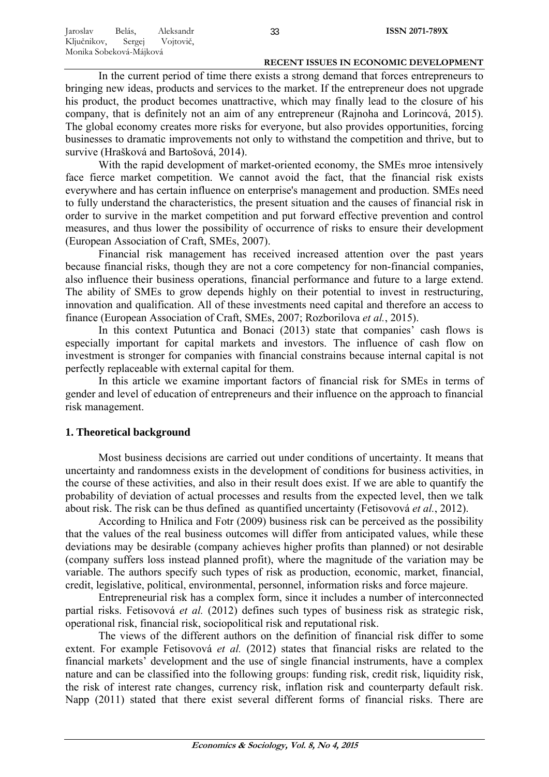In the current period of time there exists a strong demand that forces entrepreneurs to bringing new ideas, products and services to the market. If the entrepreneur does not upgrade his product, the product becomes unattractive, which may finally lead to the closure of his company, that is definitely not an aim of any entrepreneur (Rajnoha and Lorincová, 2015). The global economy creates more risks for everyone, but also provides opportunities, forcing businesses to dramatic improvements not only to withstand the competition and thrive, but to survive (Hrašková and Bartošová, 2014).

With the rapid development of market-oriented economy, the SMEs mroe intensively face fierce market competition. We cannot avoid the fact, that the financial risk exists everywhere and has certain influence on enterprise's management and production. SMEs need to fully understand the characteristics, the present situation and the causes of financial risk in order to survive in the market competition and put forward effective prevention and control measures, and thus lower the possibility of occurrence of risks to ensure their development (European Association of Craft, SMEs, 2007).

Financial risk management has received increased attention over the past years because financial risks, though they are not a core competency for non-financial companies, also influence their business operations, financial performance and future to a large extend. The ability of SMEs to grow depends highly on their potential to invest in restructuring, innovation and qualification. All of these investments need capital and therefore an access to finance (European Association of Craft, SMEs, 2007; Rozborilova *et al.*, 2015).

In this context Putuntica and Bonaci (2013) state that companies' cash flows is especially important for capital markets and investors. The influence of cash flow on investment is stronger for companies with financial constrains because internal capital is not perfectly replaceable with external capital for them.

In this article we examine important factors of financial risk for SMEs in terms of gender and level of education of entrepreneurs and their influence on the approach to financial risk management.

## **1. Theoretical background**

Most business decisions are carried out under conditions of uncertainty. It means that uncertainty and randomness exists in the development of conditions for business activities, in the course of these activities, and also in their result does exist. If we are able to quantify the probability of deviation of actual processes and results from the expected level, then we talk about risk. The risk can be thus defined as quantified uncertainty (Fetisovová *et al.*, 2012).

According to Hnilica and Fotr (2009) business risk can be perceived as the possibility that the values of the real business outcomes will differ from anticipated values, while these deviations may be desirable (company achieves higher profits than planned) or not desirable (company suffers loss instead planned profit), where the magnitude of the variation may be variable. The authors specify such types of risk as production, economic, market, financial, credit, legislative, political, environmental, personnel, information risks and force majeure.

Entrepreneurial risk has a complex form, since it includes a number of interconnected partial risks. Fetisovová *et al.* (2012) defines such types of business risk as strategic risk, operational risk, financial risk, sociopolitical risk and reputational risk.

The views of the different authors on the definition of financial risk differ to some extent. For example Fetisovová *et al.* (2012) states that financial risks are related to the financial markets' development and the use of single financial instruments, have a complex nature and can be classified into the following groups: funding risk, credit risk, liquidity risk, the risk of interest rate changes, currency risk, inflation risk and counterparty default risk. Napp (2011) stated that there exist several different forms of financial risks. There are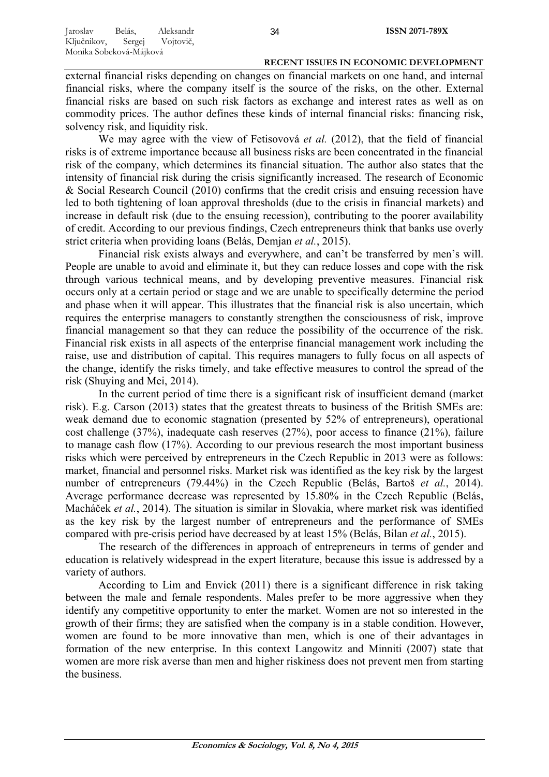external financial risks depending on changes on financial markets on one hand, and internal financial risks, where the company itself is the source of the risks, on the other. External financial risks are based on such risk factors as exchange and interest rates as well as on commodity prices. The author defines these kinds of internal financial risks: financing risk, solvency risk, and liquidity risk.

We may agree with the view of Fetisovová *et al.* (2012), that the field of financial risks is of extreme importance because all business risks are been concentrated in the financial risk of the company, which determines its financial situation. The author also states that the intensity of financial risk during the crisis significantly increased. The research of Economic & Social Research Council (2010) confirms that the credit crisis and ensuing recession have led to both tightening of loan approval thresholds (due to the crisis in financial markets) and increase in default risk (due to the ensuing recession), contributing to the poorer availability of credit. According to our previous findings, Czech entrepreneurs think that banks use overly strict criteria when providing loans (Belás, Demjan *et al.*, 2015).

Financial risk exists always and everywhere, and can't be transferred by men's will. People are unable to avoid and eliminate it, but they can reduce losses and cope with the risk through various technical means, and by developing preventive measures. Financial risk occurs only at a certain period or stage and we are unable to specifically determine the period and phase when it will appear. This illustrates that the financial risk is also uncertain, which requires the enterprise managers to constantly strengthen the consciousness of risk, improve financial management so that they can reduce the possibility of the occurrence of the risk. Financial risk exists in all aspects of the enterprise financial management work including the raise, use and distribution of capital. This requires managers to fully focus on all aspects of the change, identify the risks timely, and take effective measures to control the spread of the risk (Shuying and Mei, 2014).

In the current period of time there is a significant risk of insufficient demand (market risk). E.g. Carson (2013) states that the greatest threats to business of the British SMEs are: weak demand due to economic stagnation (presented by 52% of entrepreneurs), operational cost challenge (37%), inadequate cash reserves (27%), poor access to finance (21%), failure to manage cash flow (17%). According to our previous research the most important business risks which were perceived by entrepreneurs in the Czech Republic in 2013 were as follows: market, financial and personnel risks. Market risk was identified as the key risk by the largest number of entrepreneurs (79.44%) in the Czech Republic (Belás, Bartoš *et al.*, 2014). Average performance decrease was represented by 15.80% in the Czech Republic (Belás, Macháček *et al.*, 2014). The situation is similar in Slovakia, where market risk was identified as the key risk by the largest number of entrepreneurs and the performance of SMEs compared with pre-crisis period have decreased by at least 15% (Belás, Bilan *et al.*, 2015).

The research of the differences in approach of entrepreneurs in terms of gender and education is relatively widespread in the expert literature, because this issue is addressed by a variety of authors.

According to Lim and Envick (2011) there is a significant difference in risk taking between the male and female respondents. Males prefer to be more aggressive when they identify any competitive opportunity to enter the market. Women are not so interested in the growth of their firms; they are satisfied when the company is in a stable condition. However, women are found to be more innovative than men, which is one of their advantages in formation of the new enterprise. In this context Langowitz and Minniti (2007) state that women are more risk averse than men and higher riskiness does not prevent men from starting the business.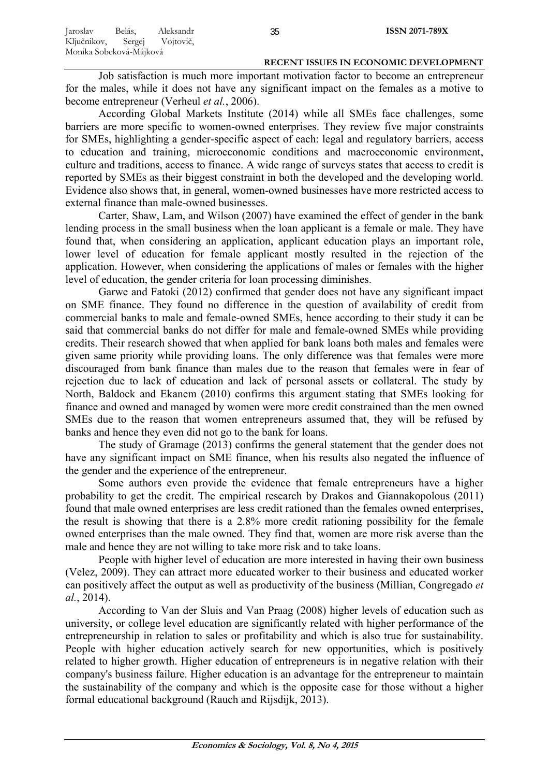Job satisfaction is much more important motivation factor to become an entrepreneur for the males, while it does not have any significant impact on the females as a motive to become entrepreneur (Verheul *et al.*, 2006).

According Global Markets Institute (2014) while all SMEs face challenges, some barriers are more specific to women-owned enterprises. They review five major constraints for SMEs, highlighting a gender-specific aspect of each: legal and regulatory barriers, access to education and training, microeconomic conditions and macroeconomic environment, culture and traditions, access to finance. A wide range of surveys states that access to credit is reported by SMEs as their biggest constraint in both the developed and the developing world. Evidence also shows that, in general, women-owned businesses have more restricted access to external finance than male-owned businesses.

Carter, Shaw, Lam, and Wilson (2007) have examined the effect of gender in the bank lending process in the small business when the loan applicant is a female or male. They have found that, when considering an application, applicant education plays an important role, lower level of education for female applicant mostly resulted in the rejection of the application. However, when considering the applications of males or females with the higher level of education, the gender criteria for loan processing diminishes.

Garwe and Fatoki (2012) confirmed that gender does not have any significant impact on SME finance. They found no difference in the question of availability of credit from commercial banks to male and female-owned SMEs, hence according to their study it can be said that commercial banks do not differ for male and female-owned SMEs while providing credits. Their research showed that when applied for bank loans both males and females were given same priority while providing loans. The only difference was that females were more discouraged from bank finance than males due to the reason that females were in fear of rejection due to lack of education and lack of personal assets or collateral. The study by North, Baldock and Ekanem (2010) confirms this argument stating that SMEs looking for finance and owned and managed by women were more credit constrained than the men owned SMEs due to the reason that women entrepreneurs assumed that, they will be refused by banks and hence they even did not go to the bank for loans.

The study of Gramage (2013) confirms the general statement that the gender does not have any significant impact on SME finance, when his results also negated the influence of the gender and the experience of the entrepreneur.

Some authors even provide the evidence that female entrepreneurs have a higher probability to get the credit. The empirical research by Drakos and Giannakopolous (2011) found that male owned enterprises are less credit rationed than the females owned enterprises, the result is showing that there is a 2.8% more credit rationing possibility for the female owned enterprises than the male owned. They find that, women are more risk averse than the male and hence they are not willing to take more risk and to take loans.

People with higher level of education are more interested in having their own business (Velez, 2009). They can attract more educated worker to their business and educated worker can positively affect the output as well as productivity of the business (Millian, Congregado *et al.*, 2014).

According to Van der Sluis and Van Praag (2008) higher levels of education such as university, or college level education are significantly related with higher performance of the entrepreneurship in relation to sales or profitability and which is also true for sustainability. People with higher education actively search for new opportunities, which is positively related to higher growth. Higher education of entrepreneurs is in negative relation with their company's business failure. Higher education is an advantage for the entrepreneur to maintain the sustainability of the company and which is the opposite case for those without a higher formal educational background (Rauch and Rijsdijk, 2013).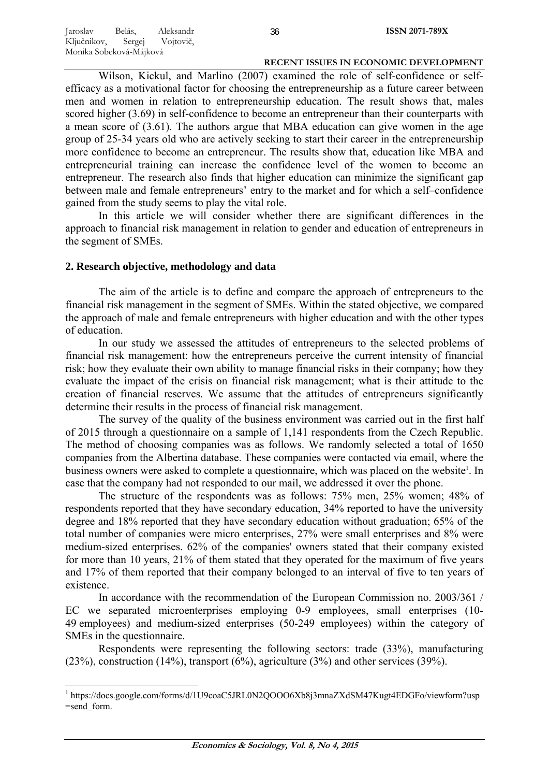Wilson, Kickul, and Marlino (2007) examined the role of self-confidence or selfefficacy as a motivational factor for choosing the entrepreneurship as a future career between men and women in relation to entrepreneurship education. The result shows that, males scored higher (3.69) in self-confidence to become an entrepreneur than their counterparts with a mean score of (3.61). The authors argue that MBA education can give women in the age group of 25-34 years old who are actively seeking to start their career in the entrepreneurship more confidence to become an entrepreneur. The results show that, education like MBA and entrepreneurial training can increase the confidence level of the women to become an entrepreneur. The research also finds that higher education can minimize the significant gap between male and female entrepreneurs' entry to the market and for which a self–confidence gained from the study seems to play the vital role.

In this article we will consider whether there are significant differences in the approach to financial risk management in relation to gender and education of entrepreneurs in the segment of SMEs.

# **2. Research objective, methodology and data**

The aim of the article is to define and compare the approach of entrepreneurs to the financial risk management in the segment of SMEs. Within the stated objective, we compared the approach of male and female entrepreneurs with higher education and with the other types of education.

In our study we assessed the attitudes of entrepreneurs to the selected problems of financial risk management: how the entrepreneurs perceive the current intensity of financial risk; how they evaluate their own ability to manage financial risks in their company; how they evaluate the impact of the crisis on financial risk management; what is their attitude to the creation of financial reserves. We assume that the attitudes of entrepreneurs significantly determine their results in the process of financial risk management.

The survey of the quality of the business environment was carried out in the first half of 2015 through a questionnaire on a sample of 1,141 respondents from the Czech Republic. The method of choosing companies was as follows. We randomly selected a total of 1650 companies from the Albertina database. These companies were contacted via email, where the business owners were asked to complete a questionnaire, which was placed on the website<sup>1</sup>. In case that the company had not responded to our mail, we addressed it over the phone.

The structure of the respondents was as follows: 75% men, 25% women; 48% of respondents reported that they have secondary education, 34% reported to have the university degree and 18% reported that they have secondary education without graduation; 65% of the total number of companies were micro enterprises, 27% were small enterprises and 8% were medium-sized enterprises. 62% of the companies' owners stated that their company existed for more than 10 years, 21% of them stated that they operated for the maximum of five years and 17% of them reported that their company belonged to an interval of five to ten years of existence.

In accordance with the recommendation of the European Commission no. 2003/361 / EC we separated microenterprises employing 0-9 employees, small enterprises (10-49 employees) and medium-sized enterprises (50-249 employees) within the category of SMEs in the questionnaire.

Respondents were representing the following sectors: trade (33%), manufacturing (23%), construction (14%), transport (6%), agriculture (3%) and other services (39%).

<sup>&</sup>lt;sup>1</sup> https://docs.google.com/forms/d/1U9coaC5JRL0N2QOOO6Xb8j3mnaZXdSM47Kugt4EDGFo/viewform?usp =send\_form.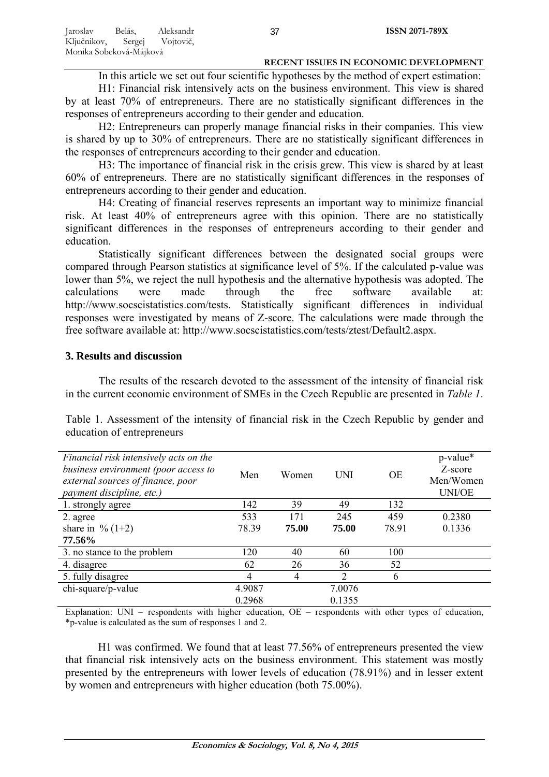In this article we set out four scientific hypotheses by the method of expert estimation:

H1: Financial risk intensively acts on the business environment. This view is shared by at least 70% of entrepreneurs. There are no statistically significant differences in the responses of entrepreneurs according to their gender and education.

H2: Entrepreneurs can properly manage financial risks in their companies. This view is shared by up to 30% of entrepreneurs. There are no statistically significant differences in the responses of entrepreneurs according to their gender and education.

H3: The importance of financial risk in the crisis grew. This view is shared by at least 60% of entrepreneurs. There are no statistically significant differences in the responses of entrepreneurs according to their gender and education.

H4: Creating of financial reserves represents an important way to minimize financial risk. At least 40% of entrepreneurs agree with this opinion. There are no statistically significant differences in the responses of entrepreneurs according to their gender and education.

Statistically significant differences between the designated social groups were compared through Pearson statistics at significance level of 5%. If the calculated p-value was lower than 5%, we reject the null hypothesis and the alternative hypothesis was adopted. The calculations were made through the free software available at: http://www.socscistatistics.com/tests. Statistically significant differences in individual responses were investigated by means of Z-score. The calculations were made through the free software available at: http://www.socscistatistics.com/tests/ztest/Default2.aspx.

# **3. Results and discussion**

The results of the research devoted to the assessment of the intensity of financial risk in the current economic environment of SMEs in the Czech Republic are presented in *Table 1*.

Table 1. Assessment of the intensity of financial risk in the Czech Republic by gender and education of entrepreneurs

| Financial risk intensively acts on the<br>business environment (poor access to<br>external sources of finance, poor<br>payment discipline, etc.) | Men    | Women | <b>UNI</b>     | <b>OE</b> | p-value*<br>Z-score<br>Men/Women<br><b>UNI/OE</b> |
|--------------------------------------------------------------------------------------------------------------------------------------------------|--------|-------|----------------|-----------|---------------------------------------------------|
| 1. strongly agree                                                                                                                                | 142    | 39    | 49             | 132       |                                                   |
| 2. agree                                                                                                                                         | 533    | 171   | 245            | 459       | 0.2380                                            |
| share in $\%$ (1+2)                                                                                                                              | 78.39  | 75.00 | 75.00          | 78.91     | 0.1336                                            |
| 77.56%                                                                                                                                           |        |       |                |           |                                                   |
| 3. no stance to the problem                                                                                                                      | 120    | 40    | 60             | 100       |                                                   |
| 4. disagree                                                                                                                                      | 62     | 26    | 36             | 52        |                                                   |
| 5. fully disagree                                                                                                                                | 4      | 4     | $\overline{2}$ | 6         |                                                   |
| chi-square/p-value                                                                                                                               | 4.9087 |       | 7.0076         |           |                                                   |
|                                                                                                                                                  | 0.2968 |       | 0.1355         |           |                                                   |

Explanation: UNI – respondents with higher education, OE – respondents with other types of education, \*p-value is calculated as the sum of responses 1 and 2.

H1 was confirmed. We found that at least 77.56% of entrepreneurs presented the view that financial risk intensively acts on the business environment. This statement was mostly presented by the entrepreneurs with lower levels of education (78.91%) and in lesser extent by women and entrepreneurs with higher education (both 75.00%).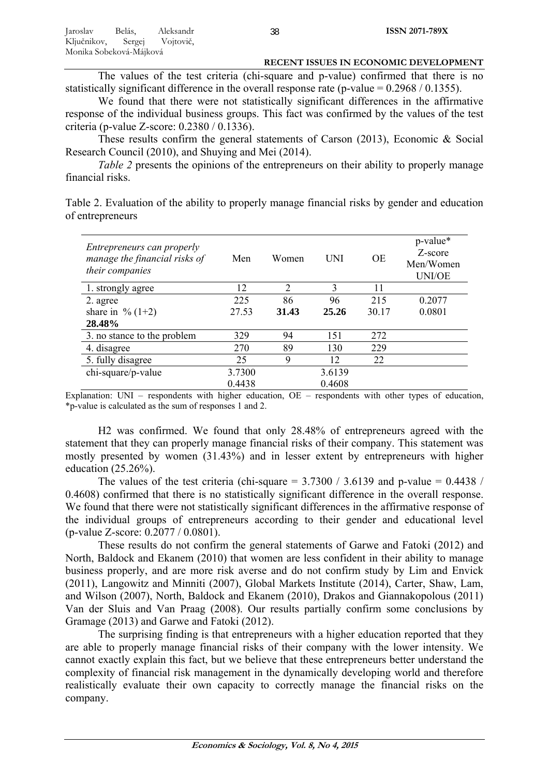The values of the test criteria (chi-square and p-value) confirmed that there is no statistically significant difference in the overall response rate (p-value =  $0.2968 / 0.1355$ ).

We found that there were not statistically significant differences in the affirmative response of the individual business groups. This fact was confirmed by the values of the test criteria (p-value Z-score: 0.2380 / 0.1336).

These results confirm the general statements of Carson (2013), Economic & Social Research Council (2010), and Shuying and Mei (2014).

*Table 2* presents the opinions of the entrepreneurs on their ability to properly manage financial risks.

Table 2. Evaluation of the ability to properly manage financial risks by gender and education of entrepreneurs

| Entrepreneurs can properly<br>manage the financial risks of<br>their companies | Men    | Women                       | UNI    | <b>OE</b> | p-value*<br>Z-score<br>Men/Women<br><b>UNI/OE</b> |
|--------------------------------------------------------------------------------|--------|-----------------------------|--------|-----------|---------------------------------------------------|
| 1. strongly agree                                                              | 12     | $\mathcal{D}_{\mathcal{L}}$ | 3      | 11        |                                                   |
| 2. agree                                                                       | 225    | 86                          | 96     | 215       | 0.2077                                            |
| share in % $(1+2)$                                                             | 27.53  | 31.43                       | 25.26  | 30.17     | 0.0801                                            |
| 28.48%                                                                         |        |                             |        |           |                                                   |
| 3. no stance to the problem                                                    | 329    | 94                          | 151    | 272       |                                                   |
| 4. disagree                                                                    | 270    | 89                          | 130    | 229       |                                                   |
| 5. fully disagree                                                              | 25     | 9                           | 12     | 22        |                                                   |
| chi-square/p-value                                                             | 3.7300 |                             | 3.6139 |           |                                                   |
|                                                                                | 0.4438 |                             | 0.4608 |           |                                                   |

Explanation: UNI – respondents with higher education, OE – respondents with other types of education, \*p-value is calculated as the sum of responses 1 and 2.

H2 was confirmed. We found that only 28.48% of entrepreneurs agreed with the statement that they can properly manage financial risks of their company. This statement was mostly presented by women (31.43%) and in lesser extent by entrepreneurs with higher education (25.26%).

The values of the test criteria (chi-square  $= 3.7300 / 3.6139$  and p-value  $= 0.4438 / 1.6139$ 0.4608) confirmed that there is no statistically significant difference in the overall response. We found that there were not statistically significant differences in the affirmative response of the individual groups of entrepreneurs according to their gender and educational level (p-value Z-score: 0.2077 / 0.0801).

These results do not confirm the general statements of Garwe and Fatoki (2012) and North, Baldock and Ekanem (2010) that women are less confident in their ability to manage business properly, and are more risk averse and do not confirm study by Lim and Envick (2011), Langowitz and Minniti (2007), Global Markets Institute (2014), Carter, Shaw, Lam, and Wilson (2007), North, Baldock and Ekanem (2010), Drakos and Giannakopolous (2011) Van der Sluis and Van Praag (2008). Our results partially confirm some conclusions by Gramage (2013) and Garwe and Fatoki (2012).

The surprising finding is that entrepreneurs with a higher education reported that they are able to properly manage financial risks of their company with the lower intensity. We cannot exactly explain this fact, but we believe that these entrepreneurs better understand the complexity of financial risk management in the dynamically developing world and therefore realistically evaluate their own capacity to correctly manage the financial risks on the company.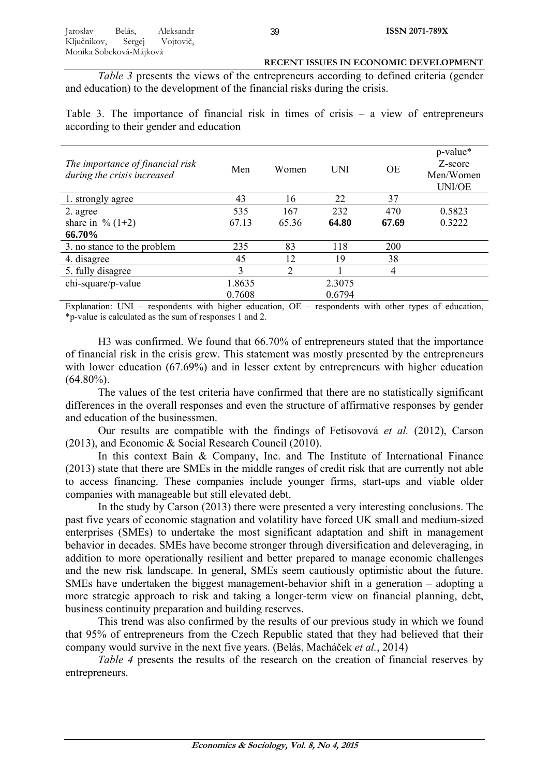*Table 3* presents the views of the entrepreneurs according to defined criteria (gender and education) to the development of the financial risks during the crisis.

Table 3. The importance of financial risk in times of crisis – a view of entrepreneurs according to their gender and education

| The importance of financial risk<br>during the crisis increased | Men    | Women | <b>UNI</b> | <b>OE</b> | p-value*<br>Z-score<br>Men/Women<br><b>UNI/OE</b> |
|-----------------------------------------------------------------|--------|-------|------------|-----------|---------------------------------------------------|
| 1. strongly agree                                               | 43     | 16    | 22         | 37        |                                                   |
| 2. agree                                                        | 535    | 167   | 232        | 470       | 0.5823                                            |
| share in $\%$ (1+2)                                             | 67.13  | 65.36 | 64.80      | 67.69     | 0.3222                                            |
| 66.70%                                                          |        |       |            |           |                                                   |
| 3. no stance to the problem                                     | 235    | 83    | 118        | 200       |                                                   |
| 4. disagree                                                     | 45     | 12    | 19         | 38        |                                                   |
| 5. fully disagree                                               | 3      | 2     |            | 4         |                                                   |
| chi-square/p-value                                              | 1.8635 |       | 2.3075     |           |                                                   |
|                                                                 | 0.7608 |       | 0.6794     |           |                                                   |

Explanation: UNI – respondents with higher education, OE – respondents with other types of education, \*p-value is calculated as the sum of responses 1 and 2.

H3 was confirmed. We found that 66.70% of entrepreneurs stated that the importance of financial risk in the crisis grew. This statement was mostly presented by the entrepreneurs with lower education (67.69%) and in lesser extent by entrepreneurs with higher education  $(64.80\%)$ .

The values of the test criteria have confirmed that there are no statistically significant differences in the overall responses and even the structure of affirmative responses by gender and education of the businessmen.

Our results are compatible with the findings of Fetisovová *et al.* (2012), Carson (2013), and Economic & Social Research Council (2010).

In this context Bain & Company, Inc. and The Institute of International Finance (2013) state that there are SMEs in the middle ranges of credit risk that are currently not able to access financing. These companies include younger firms, start-ups and viable older companies with manageable but still elevated debt.

In the study by Carson (2013) there were presented a very interesting conclusions. The past five years of economic stagnation and volatility have forced UK small and medium-sized enterprises (SMEs) to undertake the most significant adaptation and shift in management behavior in decades. SMEs have become stronger through diversification and deleveraging, in addition to more operationally resilient and better prepared to manage economic challenges and the new risk landscape. In general, SMEs seem cautiously optimistic about the future. SMEs have undertaken the biggest management-behavior shift in a generation – adopting a more strategic approach to risk and taking a longer-term view on financial planning, debt, business continuity preparation and building reserves.

This trend was also confirmed by the results of our previous study in which we found that 95% of entrepreneurs from the Czech Republic stated that they had believed that their company would survive in the next five years. (Belás, Macháček *et al.*, 2014)

*Table 4* presents the results of the research on the creation of financial reserves by entrepreneurs.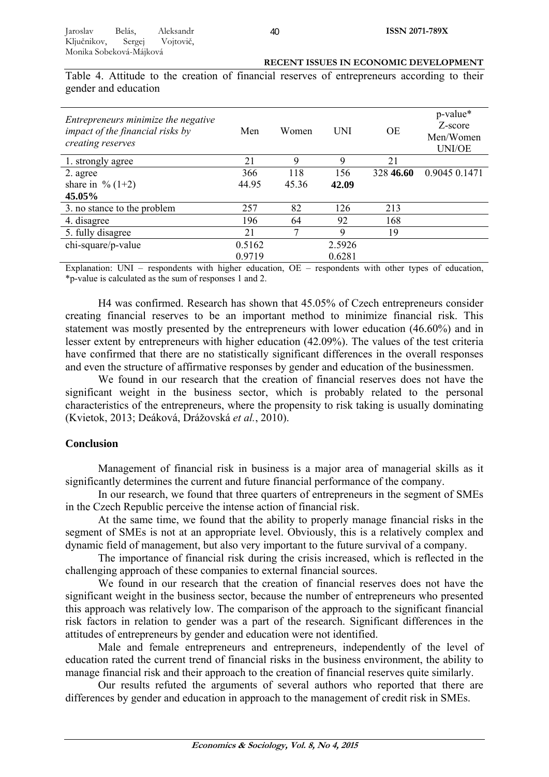Table 4. Attitude to the creation of financial reserves of entrepreneurs according to their gender and education

| Entrepreneurs minimize the negative<br>impact of the financial risks by<br>creating reserves | Men    | Women | UNI    | OE        | p-value*<br>Z-score<br>Men/Women<br><b>UNI/OE</b> |
|----------------------------------------------------------------------------------------------|--------|-------|--------|-----------|---------------------------------------------------|
| 1. strongly agree                                                                            | 21     | 9     | 9      | 21        |                                                   |
| 2. agree                                                                                     | 366    | 118   | 156    | 328 46.60 | 0.9045 0.1471                                     |
| share in % $(1+2)$                                                                           | 44.95  | 45.36 | 42.09  |           |                                                   |
| 45.05%                                                                                       |        |       |        |           |                                                   |
| 3. no stance to the problem                                                                  | 257    | 82    | 126    | 213       |                                                   |
| 4. disagree                                                                                  | 196    | 64    | 92     | 168       |                                                   |
| 5. fully disagree                                                                            | 21     | 7     | 9      | 19        |                                                   |
| chi-square/p-value                                                                           | 0.5162 |       | 2.5926 |           |                                                   |
|                                                                                              | 0.9719 |       | 0.6281 |           |                                                   |

Explanation: UNI – respondents with higher education, OE – respondents with other types of education, \*p-value is calculated as the sum of responses 1 and 2.

H4 was confirmed. Research has shown that 45.05% of Czech entrepreneurs consider creating financial reserves to be an important method to minimize financial risk. This statement was mostly presented by the entrepreneurs with lower education (46.60%) and in lesser extent by entrepreneurs with higher education (42.09%). The values of the test criteria have confirmed that there are no statistically significant differences in the overall responses and even the structure of affirmative responses by gender and education of the businessmen.

We found in our research that the creation of financial reserves does not have the significant weight in the business sector, which is probably related to the personal characteristics of the entrepreneurs, where the propensity to risk taking is usually dominating (Kvietok, 2013; Deáková, Drážovská *et al.*, 2010).

## **Conclusion**

Management of financial risk in business is a major area of managerial skills as it significantly determines the current and future financial performance of the company.

In our research, we found that three quarters of entrepreneurs in the segment of SMEs in the Czech Republic perceive the intense action of financial risk.

At the same time, we found that the ability to properly manage financial risks in the segment of SMEs is not at an appropriate level. Obviously, this is a relatively complex and dynamic field of management, but also very important to the future survival of a company.

The importance of financial risk during the crisis increased, which is reflected in the challenging approach of these companies to external financial sources.

We found in our research that the creation of financial reserves does not have the significant weight in the business sector, because the number of entrepreneurs who presented this approach was relatively low. The comparison of the approach to the significant financial risk factors in relation to gender was a part of the research. Significant differences in the attitudes of entrepreneurs by gender and education were not identified.

Male and female entrepreneurs and entrepreneurs, independently of the level of education rated the current trend of financial risks in the business environment, the ability to manage financial risk and their approach to the creation of financial reserves quite similarly.

Our results refuted the arguments of several authors who reported that there are differences by gender and education in approach to the management of credit risk in SMEs.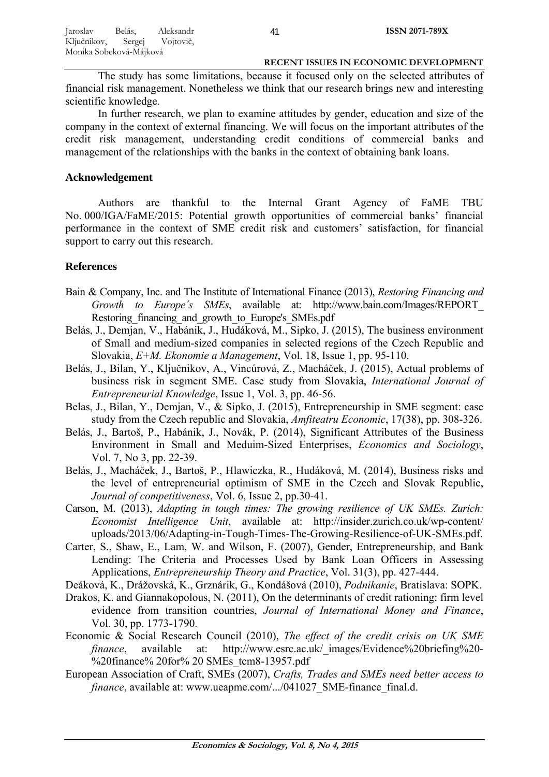The study has some limitations, because it focused only on the selected attributes of financial risk management. Nonetheless we think that our research brings new and interesting scientific knowledge.

In further research, we plan to examine attitudes by gender, education and size of the company in the context of external financing. We will focus on the important attributes of the credit risk management, understanding credit conditions of commercial banks and management of the relationships with the banks in the context of obtaining bank loans.

# **Acknowledgement**

Authors are thankful to the Internal Grant Agency of FaME TBU No. 000/IGA/FaME/2015: Potential growth opportunities of commercial banks' financial performance in the context of SME credit risk and customers' satisfaction, for financial support to carry out this research.

# **References**

- Bain & Company, Inc. and The Institute of International Finance (2013), *Restoring Financing and Growth to Europe´s SMEs*, available at: http://www.bain.com/Images/REPORT\_ Restoring financing and growth to Europe's SMEs.pdf
- Belás, J., Demjan, V., Habánik, J., Hudáková, M., Sipko, J. (2015), The business environment of Small and medium-sized companies in selected regions of the Czech Republic and Slovakia, *E+M. Ekonomie a Management*, Vol. 18, Issue 1, pp. 95-110.
- Belás, J., Bilan, Y., Ključnikov, A., Vincúrová, Z., Macháček, J. (2015), Actual problems of business risk in segment SME. Case study from Slovakia, *International Journal of Entrepreneurial Knowledge*, Issue 1, Vol. 3, pp. 46-56.
- Belas, J., Bilan, Y., Demjan, V., & Sipko, J. (2015), Entrepreneurship in SME segment: case study from the Czech republic and Slovakia, *Amfiteatru Economic*, 17(38), pp. 308-326.
- Belás, J., Bartoš, P., Habánik, J., Novák, P. (2014), Significant Attributes of the Business Environment in Small and Meduim-Sized Enterprises, *Economics and Sociology*, Vol. 7, No 3, pp. 22-39.
- Belás, J., Macháček, J., Bartoš, P., Hlawiczka, R., Hudáková, M. (2014), Business risks and the level of entrepreneurial optimism of SME in the Czech and Slovak Republic, *Journal of competitiveness*, Vol. 6, Issue 2, pp.30-41.
- Carson, M. (2013), *Adapting in tough times: The growing resilience of UK SMEs. Zurich: Economist Intelligence Unit*, available at: http://insider.zurich.co.uk/wp-content/ uploads/2013/06/Adapting-in-Tough-Times-The-Growing-Resilience-of-UK-SMEs.pdf.
- Carter, S., Shaw, E., Lam, W. and Wilson, F. (2007), Gender, Entrepreneurship, and Bank Lending: The Criteria and Processes Used by Bank Loan Officers in Assessing Applications, *Entrepreneurship Theory and Practice*, Vol. 31(3), pp. 427-444.

Deáková, K., Drážovská, K., Grznárik, G., Kondášová (2010), *Podnikanie*, Bratislava: SOPK.

- Drakos, K. and Giannakopolous, N. (2011), On the determinants of credit rationing: firm level evidence from transition countries, *Journal of International Money and Finance*, Vol. 30, pp. 1773-1790.
- Economic & Social Research Council (2010), *The effect of the credit crisis on UK SME finance*, available at: http://www.esrc.ac.uk/ images/Evidence%20briefing%20-%20finance% 20for% 20 SMEs tcm8-13957.pdf
- European Association of Craft, SMEs (2007), *Crafts, Trades and SMEs need better access to finance*, available at: www.ueapme.com/.../041027 SME-finance final.d.